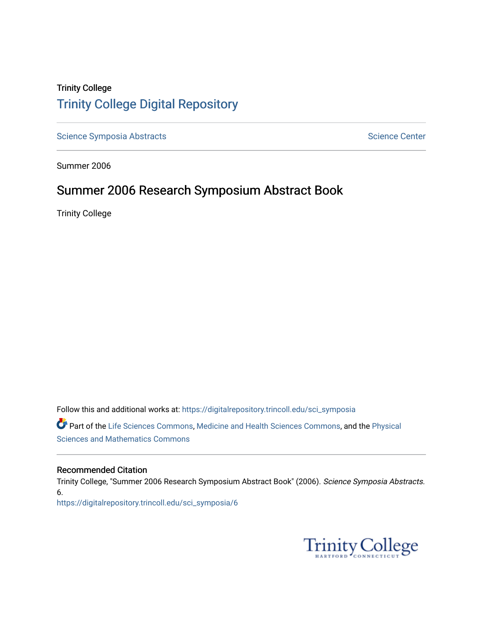# Trinity College [Trinity College Digital Repository](https://digitalrepository.trincoll.edu/)

[Science Symposia Abstracts](https://digitalrepository.trincoll.edu/sci_symposia) **Science Center** Science Center

Summer 2006

# Summer 2006 Research Symposium Abstract Book

Trinity College

Follow this and additional works at: [https://digitalrepository.trincoll.edu/sci\\_symposia](https://digitalrepository.trincoll.edu/sci_symposia?utm_source=digitalrepository.trincoll.edu%2Fsci_symposia%2F6&utm_medium=PDF&utm_campaign=PDFCoverPages)  Part of the [Life Sciences Commons,](http://network.bepress.com/hgg/discipline/1016?utm_source=digitalrepository.trincoll.edu%2Fsci_symposia%2F6&utm_medium=PDF&utm_campaign=PDFCoverPages) [Medicine and Health Sciences Commons,](http://network.bepress.com/hgg/discipline/648?utm_source=digitalrepository.trincoll.edu%2Fsci_symposia%2F6&utm_medium=PDF&utm_campaign=PDFCoverPages) and the [Physical](http://network.bepress.com/hgg/discipline/114?utm_source=digitalrepository.trincoll.edu%2Fsci_symposia%2F6&utm_medium=PDF&utm_campaign=PDFCoverPages)  [Sciences and Mathematics Commons](http://network.bepress.com/hgg/discipline/114?utm_source=digitalrepository.trincoll.edu%2Fsci_symposia%2F6&utm_medium=PDF&utm_campaign=PDFCoverPages) 

#### Recommended Citation

Trinity College, "Summer 2006 Research Symposium Abstract Book" (2006). Science Symposia Abstracts. 6. [https://digitalrepository.trincoll.edu/sci\\_symposia/6](https://digitalrepository.trincoll.edu/sci_symposia/6?utm_source=digitalrepository.trincoll.edu%2Fsci_symposia%2F6&utm_medium=PDF&utm_campaign=PDFCoverPages) 

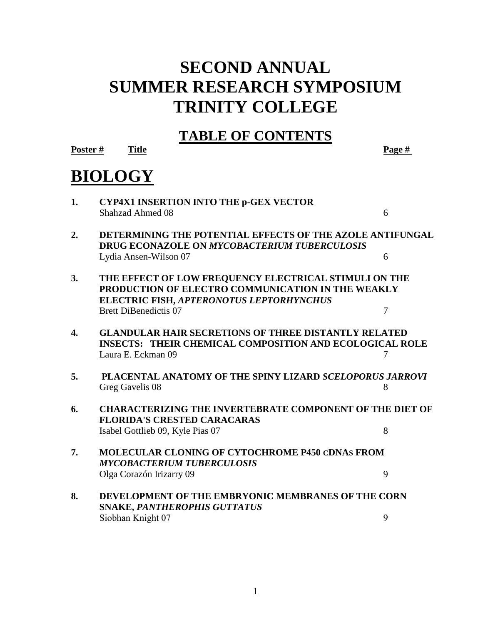# **SECOND ANNUAL SUMMER RESEARCH SYMPOSIUM TRINITY COLLEGE**

# **TABLE OF CONTENTS**

**Poster # Title Page #**

# **BIOLOGY**

- **1. CYP4X1 INSERTION INTO THE p-GEX VECTOR** Shahzad Ahmed 08 6
- **2. DETERMINING THE POTENTIAL EFFECTS OF THE AZOLE ANTIFUNGAL DRUG ECONAZOLE ON** *MYCOBACTERIUM TUBERCULOSIS* Lydia Ansen-Wilson 07 6
- **3. THE EFFECT OF LOW FREQUENCY ELECTRICAL STIMULI ON THE PRODUCTION OF ELECTRO COMMUNICATION IN THE WEAKLY ELECTRIC FISH,** *APTERONOTUS LEPTORHYNCHUS* Brett DiBenedictis 07 7
- **4. GLANDULAR HAIR SECRETIONS OF THREE DISTANTLY RELATED INSECTS: THEIR CHEMICAL COMPOSITION AND ECOLOGICAL ROLE** Laura E. Eckman 09 7
- **5. PLACENTAL ANATOMY OF THE SPINY LIZARD** *SCELOPORUS JARROVI* Greg Gavelis 08 8
- **6. CHARACTERIZING THE INVERTEBRATE COMPONENT OF THE DIET OF FLORIDA'S CRESTED CARACARAS** Isabel Gottlieb 09, Kyle Pias 07 8
- **7. MOLECULAR CLONING OF CYTOCHROME P450 CDNAS FROM**  *MYCOBACTERIUM TUBERCULOSIS* Olga Corazón Irizarry 09 9
- **8. DEVELOPMENT OF THE EMBRYONIC MEMBRANES OF THE CORN SNAKE,** *PANTHEROPHIS GUTTATUS* Siobhan Knight 07 9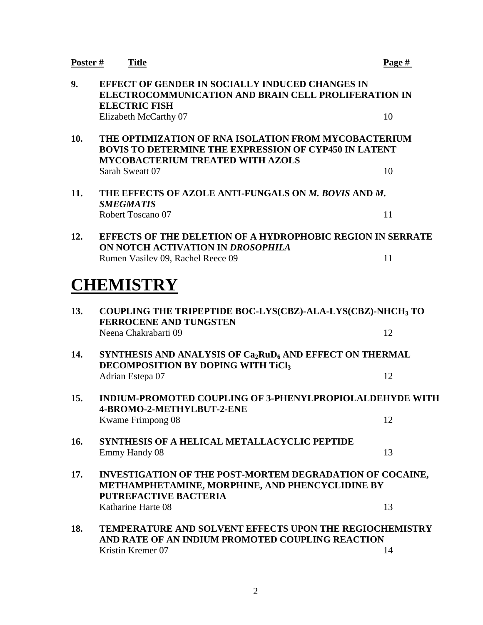| Poster#          | <b>Title</b>                                                                                                                                                    | Page # |  |
|------------------|-----------------------------------------------------------------------------------------------------------------------------------------------------------------|--------|--|
| 9.               | <b>EFFECT OF GENDER IN SOCIALLY INDUCED CHANGES IN</b><br><b>ELECTROCOMMUNICATION AND BRAIN CELL PROLIFERATION IN</b><br><b>ELECTRIC FISH</b>                   |        |  |
|                  | Elizabeth McCarthy 07                                                                                                                                           | 10     |  |
| 10.              | THE OPTIMIZATION OF RNA ISOLATION FROM MYCOBACTERIUM<br><b>BOVIS TO DETERMINE THE EXPRESSION OF CYP450 IN LATENT</b><br><b>MYCOBACTERIUM TREATED WITH AZOLS</b> |        |  |
|                  | Sarah Sweatt 07                                                                                                                                                 | 10     |  |
| 11.              | THE EFFECTS OF AZOLE ANTI-FUNGALS ON M. BOVIS AND M.<br><b>SMEGMATIS</b>                                                                                        |        |  |
|                  | Robert Toscano 07                                                                                                                                               | 11     |  |
| 12.              | EFFECTS OF THE DELETION OF A HYDROPHOBIC REGION IN SERRATE<br>ON NOTCH ACTIVATION IN DROSOPHILA                                                                 |        |  |
|                  | Rumen Vasilev 09, Rachel Reece 09                                                                                                                               | 11     |  |
| <b>CHEMISTRY</b> |                                                                                                                                                                 |        |  |
| 13.              | COUPLING THE TRIPEPTIDE BOC-LYS(CBZ)-ALA-LYS(CBZ)-NHCH <sub>3</sub> TO<br><b>FERROCENE AND TUNGSTEN</b>                                                         |        |  |
|                  | Neena Chakrabarti 09                                                                                                                                            | 12     |  |
| 14.              | SYNTHESIS AND ANALYSIS OF $Ca2RuD6$ AND EFFECT ON THERMAL<br>DECOMPOSITION BY DOPING WITH TiCl3                                                                 |        |  |
|                  | Adrian Estepa 07                                                                                                                                                | 12     |  |
| 15.              | <b>INDIUM-PROMOTED COUPLING OF 3-PHENYLPROPIOLALDEHYDE WITH</b><br>4-BROMO-2-METHYLBUT-2-ENE                                                                    |        |  |
|                  | Kwame Frimpong 08                                                                                                                                               | 12     |  |
| 16.              | SYNTHESIS OF A HELICAL METALLACYCLIC PEPTIDE<br>Emmy Handy 08                                                                                                   | 13     |  |
| 17.              | <b>INVESTIGATION OF THE POST-MORTEM DEGRADATION OF COCAINE,</b><br>METHAMPHETAMINE, MORPHINE, AND PHENCYCLIDINE BY<br><b>PUTREFACTIVE BACTERIA</b>              |        |  |
|                  | Katharine Harte 08                                                                                                                                              | 13     |  |
| 18.              | <b>TEMPERATURE AND SOLVENT EFFECTS UPON THE REGIOCHEMISTRY</b><br>AND RATE OF AN INDIUM PROMOTED COUPLING REACTION<br>Kristin Kremer 07                         | 14     |  |
|                  |                                                                                                                                                                 |        |  |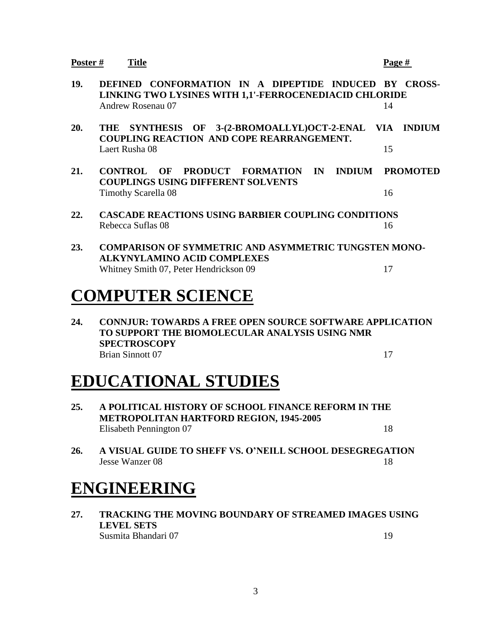| Poster#    | Title                                                                                                                                              | Page #                |
|------------|----------------------------------------------------------------------------------------------------------------------------------------------------|-----------------------|
| 19.        | DEFINED CONFORMATION IN A DIPEPTIDE INDUCED BY CROSS-<br>LINKING TWO LYSINES WITH 1,1'-FERROCENEDIACID CHLORIDE<br>Andrew Rosenau 07               | 14                    |
| <b>20.</b> | THE SYNTHESIS OF 3-(2-BROMOALLYL)OCT-2-ENAL VIA INDIUM<br><b>COUPLING REACTION AND COPE REARRANGEMENT.</b><br>Laert Rusha 08                       | 15                    |
| 21.        | PRODUCT FORMATION<br><b>OF</b><br>IN<br><b>CONTROL</b><br><b>INDIUM</b><br><b>COUPLINGS USING DIFFERENT SOLVENTS</b><br><b>Timothy Scarella 08</b> | <b>PROMOTED</b><br>16 |
| 22.        | <b>CASCADE REACTIONS USING BARBIER COUPLING CONDITIONS</b><br>Rebecca Suflas 08                                                                    | 16                    |
| 23.        | <b>COMPARISON OF SYMMETRIC AND ASYMMETRIC TUNGSTEN MONO-</b><br><b>ALKYNYLAMINO ACID COMPLEXES</b>                                                 | 17                    |
|            | Whitney Smith 07, Peter Hendrickson 09                                                                                                             |                       |

# **COMPUTER SCIENCE**

**24. CONNJUR: TOWARDS A FREE OPEN SOURCE SOFTWARE APPLICATION TO SUPPORT THE BIOMOLECULAR ANALYSIS USING NMR SPECTROSCOPY** Brian Sinnott 07 17

# **EDUCATIONAL STUDIES**

- **25. A POLITICAL HISTORY OF SCHOOL FINANCE REFORM IN THE METROPOLITAN HARTFORD REGION, 1945-2005** Elisabeth Pennington 07 18
- **26. A VISUAL GUIDE TO SHEFF VS. O'NEILL SCHOOL DESEGREGATION** Jesse Wanzer 08 18

# **ENGINEERING**

**27. TRACKING THE MOVING BOUNDARY OF STREAMED IMAGES USING LEVEL SETS** Susmita Bhandari 07 19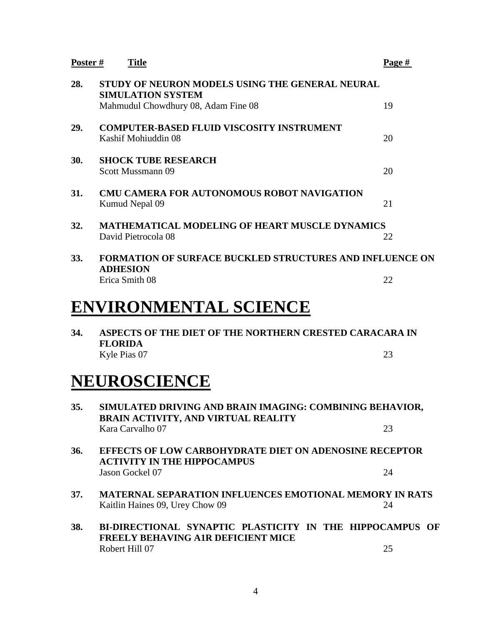| <b>Poster#</b> | <b>Title</b>                                                                                          | Page # |  |
|----------------|-------------------------------------------------------------------------------------------------------|--------|--|
| 28.            | STUDY OF NEURON MODELS USING THE GENERAL NEURAL<br><b>SIMULATION SYSTEM</b>                           |        |  |
|                | Mahmudul Chowdhury 08, Adam Fine 08                                                                   | 19     |  |
| 29.            | <b>COMPUTER-BASED FLUID VISCOSITY INSTRUMENT</b><br>Kashif Mohiuddin 08                               | 20     |  |
| 30.            | <b>SHOCK TUBE RESEARCH</b><br>Scott Mussmann 09                                                       | 20     |  |
| 31.            | <b>CMU CAMERA FOR AUTONOMOUS ROBOT NAVIGATION</b><br>Kumud Nepal 09                                   | 21     |  |
| 32.            | <b>MATHEMATICAL MODELING OF HEART MUSCLE DYNAMICS</b><br>David Pietrocola 08                          | 22     |  |
| 33.            | <b>FORMATION OF SURFACE BUCKLED STRUCTURES AND INFLUENCE ON</b><br><b>ADHESION</b>                    |        |  |
|                | Erica Smith 08                                                                                        | 22     |  |
|                | ENVIRONMENTAL SCIENCE                                                                                 |        |  |
| 34.            | ASPECTS OF THE DIET OF THE NORTHERN CRESTED CARACARA IN                                               |        |  |
|                | <b>FLORIDA</b><br>Kyle Pias 07                                                                        | 23     |  |
|                | NEUROSCIENCE                                                                                          |        |  |
| 35.            | SIMULATED DRIVING AND BRAIN IMAGING: COMBINING BEHAVIOR,                                              |        |  |
|                | <b>BRAIN ACTIVITY, AND VIRTUAL REALITY</b><br>Kara Carvalho 07                                        | 23     |  |
| 36.            | <b>EFFECTS OF LOW CARBOHYDRATE DIET ON ADENOSINE RECEPTOR</b>                                         |        |  |
|                | <b>ACTIVITY IN THE HIPPOCAMPUS</b><br>Jason Gockel 07                                                 | 24     |  |
| 37.            | MATERNAL SEPARATION INFLUENCES EMOTIONAL MEMORY IN RATS<br>Kaitlin Haines 09, Urey Chow 09            | 24     |  |
| 38.            | BI-DIRECTIONAL SYNAPTIC PLASTICITY IN THE HIPPOCAMPUS OF<br><b>FREELY BEHAVING A1R DEFICIENT MICE</b> |        |  |
|                | Robert Hill 07                                                                                        | 25     |  |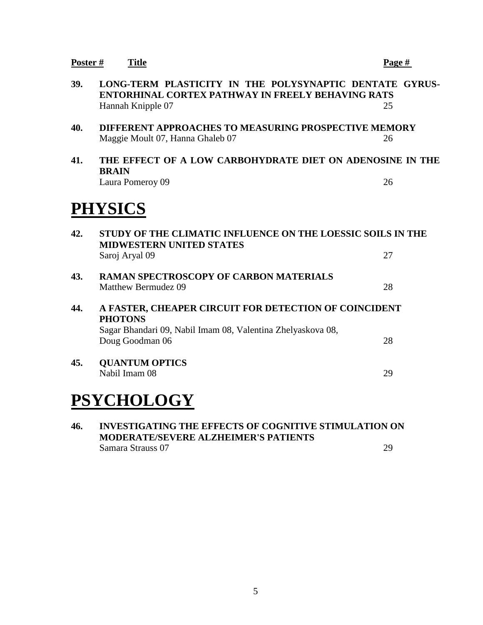| Poster# | <b>Title</b>                                                                                                                             | Page # |  |
|---------|------------------------------------------------------------------------------------------------------------------------------------------|--------|--|
| 39.     | LONG-TERM PLASTICITY IN THE POLYSYNAPTIC DENTATE GYRUS-<br><b>ENTORHINAL CORTEX PATHWAY IN FREELY BEHAVING RATS</b><br>Hannah Knipple 07 | 25     |  |
| 40.     | <b>DIFFERENT APPROACHES TO MEASURING PROSPECTIVE MEMORY</b><br>Maggie Moult 07, Hanna Ghaleb 07                                          | 26     |  |
| 41.     | THE EFFECT OF A LOW CARBOHYDRATE DIET ON ADENOSINE IN THE<br><b>BRAIN</b><br>Laura Pomeroy 09                                            | 26     |  |
|         | <b>PHYSICS</b>                                                                                                                           |        |  |
| 42.     | STUDY OF THE CLIMATIC INFLUENCE ON THE LOESSIC SOILS IN THE<br><b>MIDWESTERN UNITED STATES</b><br>Saroj Aryal 09                         | 27     |  |
| 43.     | <b>RAMAN SPECTROSCOPY OF CARBON MATERIALS</b><br>Matthew Bermudez 09                                                                     | 28     |  |
| 44.     | A FASTER, CHEAPER CIRCUIT FOR DETECTION OF COINCIDENT<br><b>PHOTONS</b>                                                                  |        |  |
|         | Sagar Bhandari 09, Nabil Imam 08, Valentina Zhelyaskova 08,<br>Doug Goodman 06                                                           | 28     |  |
| 45.     | <b>QUANTUM OPTICS</b><br>Nabil Imam 08                                                                                                   | 29     |  |
|         | <b>PSYCHOLOGY</b>                                                                                                                        |        |  |

| 46. | <b>INVESTIGATING THE EFFECTS OF COGNITIVE STIMULATION ON</b> |    |
|-----|--------------------------------------------------------------|----|
|     | <b>MODERATE/SEVERE ALZHEIMER'S PATIENTS</b>                  |    |
|     | Samara Strauss 07                                            | 29 |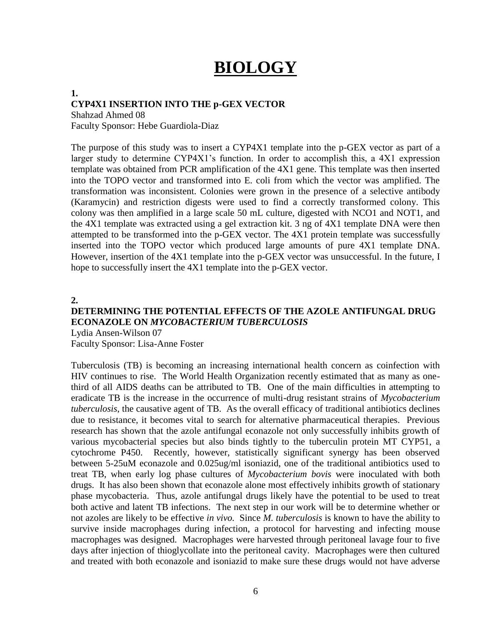# **BIOLOGY**

#### **1.**

## **CYP4X1 INSERTION INTO THE p-GEX VECTOR**

Shahzad Ahmed 08

Faculty Sponsor: Hebe Guardiola-Diaz

The purpose of this study was to insert a CYP4X1 template into the p-GEX vector as part of a larger study to determine CYP4X1's function. In order to accomplish this, a 4X1 expression template was obtained from PCR amplification of the 4X1 gene. This template was then inserted into the TOPO vector and transformed into E. coli from which the vector was amplified. The transformation was inconsistent. Colonies were grown in the presence of a selective antibody (Karamycin) and restriction digests were used to find a correctly transformed colony. This colony was then amplified in a large scale 50 mL culture, digested with NCO1 and NOT1, and the 4X1 template was extracted using a gel extraction kit. 3 ng of 4X1 template DNA were then attempted to be transformed into the p-GEX vector. The 4X1 protein template was successfully inserted into the TOPO vector which produced large amounts of pure 4X1 template DNA. However, insertion of the 4X1 template into the p-GEX vector was unsuccessful. In the future, I hope to successfully insert the 4X1 template into the p-GEX vector.

#### **2.**

# **DETERMINING THE POTENTIAL EFFECTS OF THE AZOLE ANTIFUNGAL DRUG ECONAZOLE ON** *MYCOBACTERIUM TUBERCULOSIS*

Lydia Ansen-Wilson 07 Faculty Sponsor: Lisa-Anne Foster

Tuberculosis (TB) is becoming an increasing international health concern as coinfection with HIV continues to rise. The World Health Organization recently estimated that as many as onethird of all AIDS deaths can be attributed to TB. One of the main difficulties in attempting to eradicate TB is the increase in the occurrence of multi-drug resistant strains of *Mycobacterium tuberculosis*, the causative agent of TB. As the overall efficacy of traditional antibiotics declines due to resistance, it becomes vital to search for alternative pharmaceutical therapies. Previous research has shown that the azole antifungal econazole not only successfully inhibits growth of various mycobacterial species but also binds tightly to the tuberculin protein MT CYP51, a cytochrome P450. Recently, however, statistically significant synergy has been observed between 5-25uM econazole and 0.025ug/ml isoniazid, one of the traditional antibiotics used to treat TB, when early log phase cultures of *Mycobacterium bovis* were inoculated with both drugs. It has also been shown that econazole alone most effectively inhibits growth of stationary phase mycobacteria. Thus, azole antifungal drugs likely have the potential to be used to treat both active and latent TB infections. The next step in our work will be to determine whether or not azoles are likely to be effective *in vivo.* Since *M. tuberculosis* is known to have the ability to survive inside macrophages during infection, a protocol for harvesting and infecting mouse macrophages was designed. Macrophages were harvested through peritoneal lavage four to five days after injection of thioglycollate into the peritoneal cavity. Macrophages were then cultured and treated with both econazole and isoniazid to make sure these drugs would not have adverse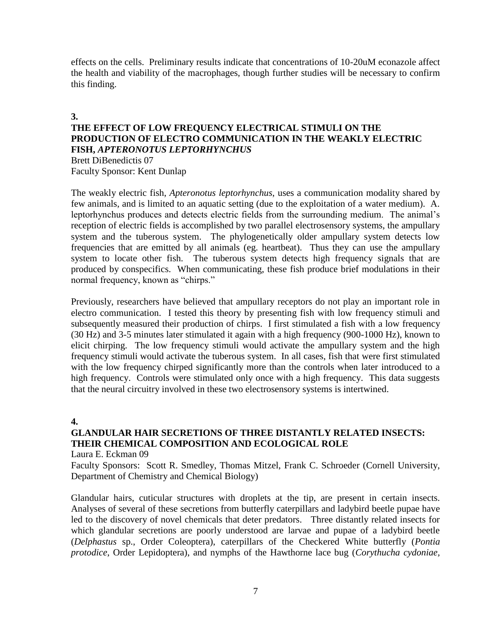effects on the cells. Preliminary results indicate that concentrations of 10-20uM econazole affect the health and viability of the macrophages, though further studies will be necessary to confirm this finding.

## **3.**

# **THE EFFECT OF LOW FREQUENCY ELECTRICAL STIMULI ON THE PRODUCTION OF ELECTRO COMMUNICATION IN THE WEAKLY ELECTRIC FISH,** *APTERONOTUS LEPTORHYNCHUS*

Brett DiBenedictis 07 Faculty Sponsor: Kent Dunlap

The weakly electric fish, *Apteronotus leptorhynchus*, uses a communication modality shared by few animals, and is limited to an aquatic setting (due to the exploitation of a water medium). A. leptorhynchus produces and detects electric fields from the surrounding medium. The animal's reception of electric fields is accomplished by two parallel electrosensory systems, the ampullary system and the tuberous system. The phylogenetically older ampullary system detects low frequencies that are emitted by all animals (eg. heartbeat). Thus they can use the ampullary system to locate other fish. The tuberous system detects high frequency signals that are produced by conspecifics. When communicating, these fish produce brief modulations in their normal frequency, known as "chirps."

Previously, researchers have believed that ampullary receptors do not play an important role in electro communication. I tested this theory by presenting fish with low frequency stimuli and subsequently measured their production of chirps. I first stimulated a fish with a low frequency (30 Hz) and 3-5 minutes later stimulated it again with a high frequency (900-1000 Hz), known to elicit chirping. The low frequency stimuli would activate the ampullary system and the high frequency stimuli would activate the tuberous system. In all cases, fish that were first stimulated with the low frequency chirped significantly more than the controls when later introduced to a high frequency. Controls were stimulated only once with a high frequency. This data suggests that the neural circuitry involved in these two electrosensory systems is intertwined.

### **4.**

# **GLANDULAR HAIR SECRETIONS OF THREE DISTANTLY RELATED INSECTS: THEIR CHEMICAL COMPOSITION AND ECOLOGICAL ROLE**

Laura E. Eckman 09

Faculty Sponsors: Scott R. Smedley, Thomas Mitzel, Frank C. Schroeder (Cornell University, Department of Chemistry and Chemical Biology)

Glandular hairs, cuticular structures with droplets at the tip, are present in certain insects. Analyses of several of these secretions from butterfly caterpillars and ladybird beetle pupae have led to the discovery of novel chemicals that deter predators. Three distantly related insects for which glandular secretions are poorly understood are larvae and pupae of a ladybird beetle (*Delphastus* sp., Order Coleoptera), caterpillars of the Checkered White butterfly (*Pontia protodice*, Order Lepidoptera), and nymphs of the Hawthorne lace bug (*Corythucha cydoniae,*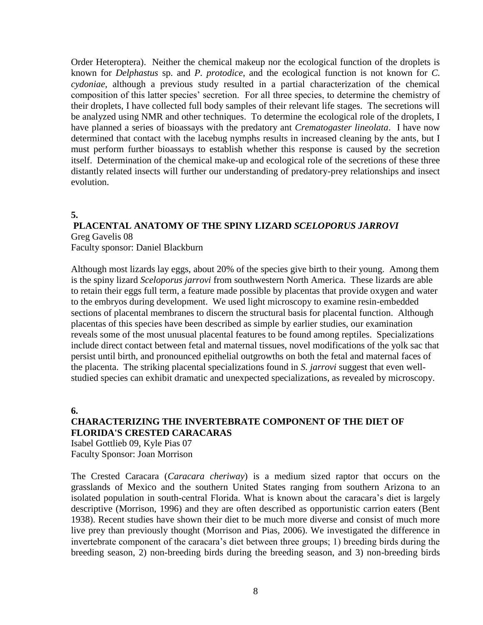Order Heteroptera). Neither the chemical makeup nor the ecological function of the droplets is known for *Delphastus* sp. and *P. protodice*, and the ecological function is not known for *C. cydoniae*, although a previous study resulted in a partial characterization of the chemical composition of this latter species' secretion. For all three species, to determine the chemistry of their droplets, I have collected full body samples of their relevant life stages. The secretions will be analyzed using NMR and other techniques. To determine the ecological role of the droplets, I have planned a series of bioassays with the predatory ant *Crematogaster lineolata*. I have now determined that contact with the lacebug nymphs results in increased cleaning by the ants, but I must perform further bioassays to establish whether this response is caused by the secretion itself. Determination of the chemical make-up and ecological role of the secretions of these three distantly related insects will further our understanding of predatory-prey relationships and insect evolution.

#### **5.**

### **PLACENTAL ANATOMY OF THE SPINY LIZARD** *SCELOPORUS JARROVI* Greg Gavelis 08 Faculty sponsor: Daniel Blackburn

Although most lizards lay eggs, about 20% of the species give birth to their young. Among them is the spiny lizard *Sceloporus jarrovi* from southwestern North America. These lizards are able to retain their eggs full term, a feature made possible by placentas that provide oxygen and water to the embryos during development. We used light microscopy to examine resin-embedded sections of placental membranes to discern the structural basis for placental function. Although placentas of this species have been described as simple by earlier studies, our examination reveals some of the most unusual placental features to be found among reptiles. Specializations include direct contact between fetal and maternal tissues, novel modifications of the yolk sac that persist until birth, and pronounced epithelial outgrowths on both the fetal and maternal faces of the placenta. The striking placental specializations found in *S. jarrovi* suggest that even wellstudied species can exhibit dramatic and unexpected specializations, as revealed by microscopy.

#### **6.**

## **CHARACTERIZING THE INVERTEBRATE COMPONENT OF THE DIET OF FLORIDA'S CRESTED CARACARAS**

Isabel Gottlieb 09, Kyle Pias 07 Faculty Sponsor: Joan Morrison

The Crested Caracara (*Caracara cheriway*) is a medium sized raptor that occurs on the grasslands of Mexico and the southern United States ranging from southern Arizona to an isolated population in south-central Florida. What is known about the caracara's diet is largely descriptive (Morrison, 1996) and they are often described as opportunistic carrion eaters (Bent 1938). Recent studies have shown their diet to be much more diverse and consist of much more live prey than previously thought (Morrison and Pias, 2006). We investigated the difference in invertebrate component of the caracara's diet between three groups; 1) breeding birds during the breeding season, 2) non-breeding birds during the breeding season, and 3) non-breeding birds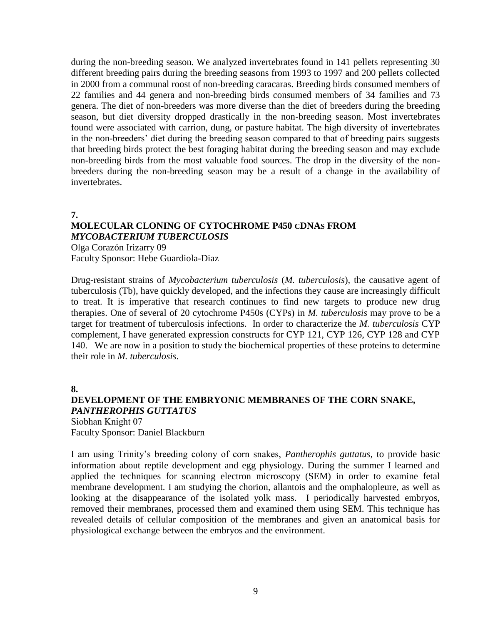during the non-breeding season. We analyzed invertebrates found in 141 pellets representing 30 different breeding pairs during the breeding seasons from 1993 to 1997 and 200 pellets collected in 2000 from a communal roost of non-breeding caracaras. Breeding birds consumed members of 22 families and 44 genera and non-breeding birds consumed members of 34 families and 73 genera. The diet of non-breeders was more diverse than the diet of breeders during the breeding season, but diet diversity dropped drastically in the non-breeding season. Most invertebrates found were associated with carrion, dung, or pasture habitat. The high diversity of invertebrates in the non-breeders' diet during the breeding season compared to that of breeding pairs suggests that breeding birds protect the best foraging habitat during the breeding season and may exclude non-breeding birds from the most valuable food sources. The drop in the diversity of the nonbreeders during the non-breeding season may be a result of a change in the availability of invertebrates.

#### **7.**

# **MOLECULAR CLONING OF CYTOCHROME P450 CDNAS FROM**  *MYCOBACTERIUM TUBERCULOSIS*

Olga Corazón Irizarry 09 Faculty Sponsor: Hebe Guardiola-Diaz

Drug-resistant strains of *Mycobacterium tuberculosis* (*M. tuberculosis*), the causative agent of tuberculosis (Tb), have quickly developed, and the infections they cause are increasingly difficult to treat. It is imperative that research continues to find new targets to produce new drug therapies. One of several of 20 cytochrome P450s (CYPs) in *M. tuberculosis* may prove to be a target for treatment of tuberculosis infections. In order to characterize the *M. tuberculosis* CYP complement, I have generated expression constructs for CYP 121, CYP 126, CYP 128 and CYP 140. We are now in a position to study the biochemical properties of these proteins to determine their role in *M. tuberculosis*.

**8.**

# **DEVELOPMENT OF THE EMBRYONIC MEMBRANES OF THE CORN SNAKE,**  *PANTHEROPHIS GUTTATUS*

Siobhan Knight 07 Faculty Sponsor: Daniel Blackburn

I am using Trinity's breeding colony of corn snakes, *Pantherophis guttatus,* to provide basic information about reptile development and egg physiology. During the summer I learned and applied the techniques for scanning electron microscopy (SEM) in order to examine fetal membrane development. I am studying the chorion, allantois and the omphalopleure, as well as looking at the disappearance of the isolated yolk mass. I periodically harvested embryos, removed their membranes, processed them and examined them using SEM. This technique has revealed details of cellular composition of the membranes and given an anatomical basis for physiological exchange between the embryos and the environment.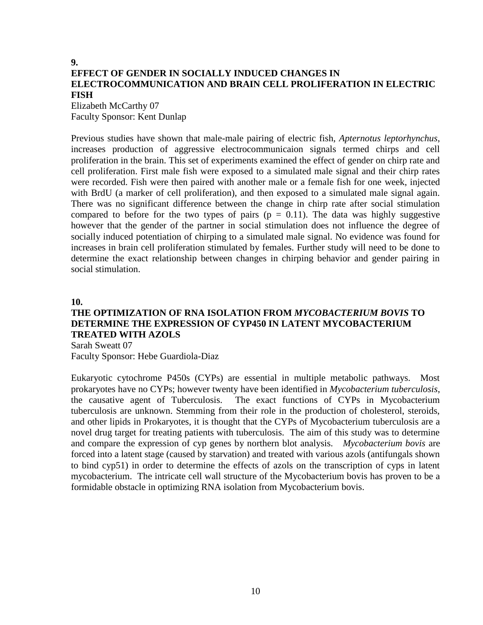## **9. EFFECT OF GENDER IN SOCIALLY INDUCED CHANGES IN ELECTROCOMMUNICATION AND BRAIN CELL PROLIFERATION IN ELECTRIC FISH**

Elizabeth McCarthy 07 Faculty Sponsor: Kent Dunlap

Previous studies have shown that male-male pairing of electric fish, *Apternotus leptorhynchus*, increases production of aggressive electrocommunicaion signals termed chirps and cell proliferation in the brain. This set of experiments examined the effect of gender on chirp rate and cell proliferation. First male fish were exposed to a simulated male signal and their chirp rates were recorded. Fish were then paired with another male or a female fish for one week, injected with BrdU (a marker of cell proliferation), and then exposed to a simulated male signal again. There was no significant difference between the change in chirp rate after social stimulation compared to before for the two types of pairs ( $p = 0.11$ ). The data was highly suggestive however that the gender of the partner in social stimulation does not influence the degree of socially induced potentiation of chirping to a simulated male signal. No evidence was found for increases in brain cell proliferation stimulated by females. Further study will need to be done to determine the exact relationship between changes in chirping behavior and gender pairing in social stimulation.

#### **10.**

## **THE OPTIMIZATION OF RNA ISOLATION FROM** *MYCOBACTERIUM BOVIS* **TO DETERMINE THE EXPRESSION OF CYP450 IN LATENT MYCOBACTERIUM TREATED WITH AZOLS**

Sarah Sweatt 07 Faculty Sponsor: Hebe Guardiola-Diaz

Eukaryotic cytochrome P450s (CYPs) are essential in multiple metabolic pathways. Most prokaryotes have no CYPs; however twenty have been identified in *Mycobacterium tuberculosis*, the causative agent of Tuberculosis. The exact functions of CYPs in Mycobacterium tuberculosis are unknown. Stemming from their role in the production of cholesterol, steroids, and other lipids in Prokaryotes, it is thought that the CYPs of Mycobacterium tuberculosis are a novel drug target for treating patients with tuberculosis. The aim of this study was to determine and compare the expression of cyp genes by northern blot analysis. *Mycobacterium bovis* are forced into a latent stage (caused by starvation) and treated with various azols (antifungals shown to bind cyp51) in order to determine the effects of azols on the transcription of cyps in latent mycobacterium. The intricate cell wall structure of the Mycobacterium bovis has proven to be a formidable obstacle in optimizing RNA isolation from Mycobacterium bovis.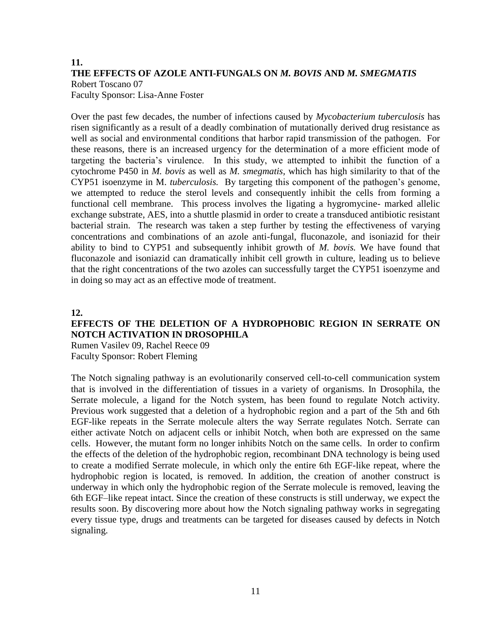## **11. THE EFFECTS OF AZOLE ANTI-FUNGALS ON** *M. BOVIS* **AND** *M. SMEGMATIS* Robert Toscano 07 Faculty Sponsor: Lisa-Anne Foster

Over the past few decades, the number of infections caused by *Mycobacterium tuberculosis* has risen significantly as a result of a deadly combination of mutationally derived drug resistance as well as social and environmental conditions that harbor rapid transmission of the pathogen. For these reasons, there is an increased urgency for the determination of a more efficient mode of targeting the bacteria's virulence. In this study, we attempted to inhibit the function of a cytochrome P450 in *M. bovis* as well as *M. smegmatis,* which has high similarity to that of the CYP51 isoenzyme in M. *tuberculosis.* By targeting this component of the pathogen's genome, we attempted to reduce the sterol levels and consequently inhibit the cells from forming a functional cell membrane. This process involves the ligating a hygromycine- marked allelic exchange substrate, AES, into a shuttle plasmid in order to create a transduced antibiotic resistant bacterial strain. The research was taken a step further by testing the effectiveness of varying concentrations and combinations of an azole anti-fungal, fluconazole, and isoniazid for their ability to bind to CYP51 and subsequently inhibit growth of *M. bovis.* We have found that fluconazole and isoniazid can dramatically inhibit cell growth in culture, leading us to believe that the right concentrations of the two azoles can successfully target the CYP51 isoenzyme and in doing so may act as an effective mode of treatment.

### **12.**

# **EFFECTS OF THE DELETION OF A HYDROPHOBIC REGION IN SERRATE ON NOTCH ACTIVATION IN DROSOPHILA**

Rumen Vasilev 09, Rachel Reece 09 Faculty Sponsor: Robert Fleming

The Notch signaling pathway is an evolutionarily conserved cell-to-cell communication system that is involved in the differentiation of tissues in a variety of organisms. In Drosophila, the Serrate molecule, a ligand for the Notch system, has been found to regulate Notch activity. Previous work suggested that a deletion of a hydrophobic region and a part of the 5th and 6th EGF-like repeats in the Serrate molecule alters the way Serrate regulates Notch. Serrate can either activate Notch on adjacent cells or inhibit Notch, when both are expressed on the same cells. However, the mutant form no longer inhibits Notch on the same cells. In order to confirm the effects of the deletion of the hydrophobic region, recombinant DNA technology is being used to create a modified Serrate molecule, in which only the entire 6th EGF-like repeat, where the hydrophobic region is located, is removed. In addition, the creation of another construct is underway in which only the hydrophobic region of the Serrate molecule is removed, leaving the 6th EGF–like repeat intact. Since the creation of these constructs is still underway, we expect the results soon. By discovering more about how the Notch signaling pathway works in segregating every tissue type, drugs and treatments can be targeted for diseases caused by defects in Notch signaling.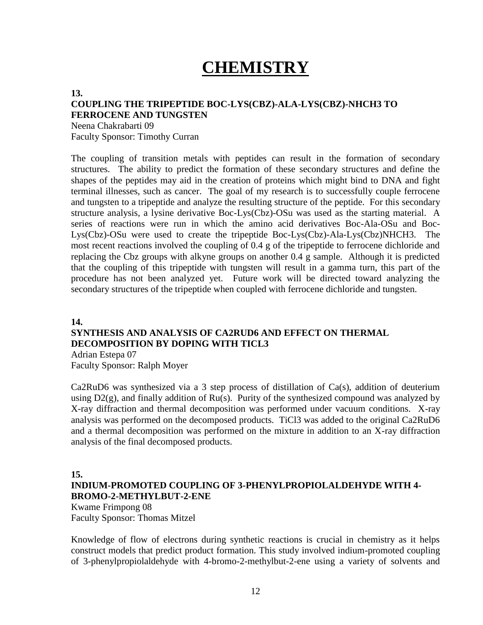# **CHEMISTRY**

#### **13.**

## **COUPLING THE TRIPEPTIDE BOC-LYS(CBZ)-ALA-LYS(CBZ)-NHCH3 TO FERROCENE AND TUNGSTEN** Neena Chakrabarti 09

Faculty Sponsor: Timothy Curran

The coupling of transition metals with peptides can result in the formation of secondary structures. The ability to predict the formation of these secondary structures and define the shapes of the peptides may aid in the creation of proteins which might bind to DNA and fight terminal illnesses, such as cancer. The goal of my research is to successfully couple ferrocene and tungsten to a tripeptide and analyze the resulting structure of the peptide. For this secondary structure analysis, a lysine derivative Boc-Lys(Cbz)-OSu was used as the starting material. A series of reactions were run in which the amino acid derivatives Boc-Ala-OSu and Boc-Lys(Cbz)-OSu were used to create the tripeptide Boc-Lys(Cbz)-Ala-Lys(Cbz)NHCH3. The most recent reactions involved the coupling of 0.4 g of the tripeptide to ferrocene dichloride and replacing the Cbz groups with alkyne groups on another 0.4 g sample. Although it is predicted that the coupling of this tripeptide with tungsten will result in a gamma turn, this part of the procedure has not been analyzed yet. Future work will be directed toward analyzing the secondary structures of the tripeptide when coupled with ferrocene dichloride and tungsten.

#### **14.**

# **SYNTHESIS AND ANALYSIS OF CA2RUD6 AND EFFECT ON THERMAL DECOMPOSITION BY DOPING WITH TICL3**

Adrian Estepa 07 Faculty Sponsor: Ralph Moyer

Ca2RuD6 was synthesized via a 3 step process of distillation of Ca(s), addition of deuterium using  $D2(g)$ , and finally addition of Ru(s). Purity of the synthesized compound was analyzed by X-ray diffraction and thermal decomposition was performed under vacuum conditions. X-ray analysis was performed on the decomposed products. TiCl3 was added to the original Ca2RuD6 and a thermal decomposition was performed on the mixture in addition to an X-ray diffraction analysis of the final decomposed products.

#### **15.**

## **INDIUM-PROMOTED COUPLING OF 3-PHENYLPROPIOLALDEHYDE WITH 4- BROMO-2-METHYLBUT-2-ENE**

Kwame Frimpong 08 Faculty Sponsor: Thomas Mitzel

Knowledge of flow of electrons during synthetic reactions is crucial in chemistry as it helps construct models that predict product formation. This study involved indium-promoted coupling of 3-phenylpropiolaldehyde with 4-bromo-2-methylbut-2-ene using a variety of solvents and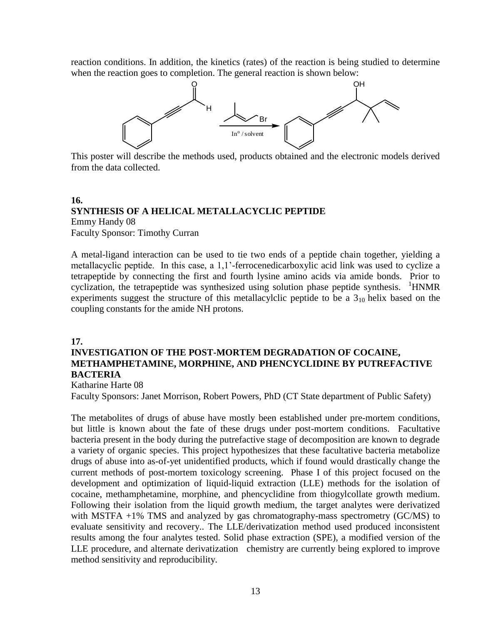reaction conditions. In addition, the kinetics (rates) of the reaction is being studied to determine when the reaction goes to completion. The general reaction is shown below:



This poster will describe the methods used, products obtained and the electronic models derived from the data collected.

## **16. SYNTHESIS OF A HELICAL METALLACYCLIC PEPTIDE** Emmy Handy 08 Faculty Sponsor: Timothy Curran

A metal-ligand interaction can be used to tie two ends of a peptide chain together, yielding a metallacyclic peptide. In this case, a 1,1'-ferrocenedicarboxylic acid link was used to cyclize a tetrapeptide by connecting the first and fourth lysine amino acids via amide bonds. Prior to cyclization, the tetrapeptide was synthesized using solution phase peptide synthesis. <sup>1</sup>HNMR experiments suggest the structure of this metallacylclic peptide to be a  $3_{10}$  helix based on the coupling constants for the amide NH protons.

#### **17.**

## **INVESTIGATION OF THE POST-MORTEM DEGRADATION OF COCAINE, METHAMPHETAMINE, MORPHINE, AND PHENCYCLIDINE BY PUTREFACTIVE BACTERIA**

#### Katharine Harte 08

Faculty Sponsors: Janet Morrison, Robert Powers, PhD (CT State department of Public Safety)

The metabolites of drugs of abuse have mostly been established under pre-mortem conditions, but little is known about the fate of these drugs under post-mortem conditions. Facultative bacteria present in the body during the putrefactive stage of decomposition are known to degrade a variety of organic species. This project hypothesizes that these facultative bacteria metabolize drugs of abuse into as-of-yet unidentified products, which if found would drastically change the current methods of post-mortem toxicology screening. Phase I of this project focused on the development and optimization of liquid-liquid extraction (LLE) methods for the isolation of cocaine, methamphetamine, morphine, and phencyclidine from thiogylcollate growth medium. Following their isolation from the liquid growth medium, the target analytes were derivatized with MSTFA +1% TMS and analyzed by gas chromatography-mass spectrometry (GC/MS) to evaluate sensitivity and recovery.. The LLE/derivatization method used produced inconsistent results among the four analytes tested. Solid phase extraction (SPE), a modified version of the LLE procedure, and alternate derivatization chemistry are currently being explored to improve method sensitivity and reproducibility.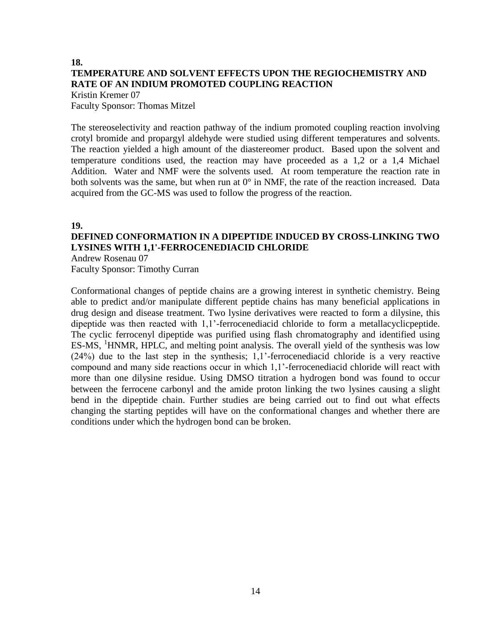## **18. TEMPERATURE AND SOLVENT EFFECTS UPON THE REGIOCHEMISTRY AND RATE OF AN INDIUM PROMOTED COUPLING REACTION** Kristin Kremer 07

Faculty Sponsor: Thomas Mitzel

The stereoselectivity and reaction pathway of the indium promoted coupling reaction involving crotyl bromide and propargyl aldehyde were studied using different temperatures and solvents. The reaction yielded a high amount of the diastereomer product. Based upon the solvent and temperature conditions used, the reaction may have proceeded as a 1,2 or a 1,4 Michael Addition. Water and NMF were the solvents used. At room temperature the reaction rate in both solvents was the same, but when run at  $0^{\circ}$  in NMF, the rate of the reaction increased. Data acquired from the GC-MS was used to follow the progress of the reaction.

#### **19.**

# **DEFINED CONFORMATION IN A DIPEPTIDE INDUCED BY CROSS-LINKING TWO LYSINES WITH 1,1'-FERROCENEDIACID CHLORIDE**

Andrew Rosenau 07 Faculty Sponsor: Timothy Curran

Conformational changes of peptide chains are a growing interest in synthetic chemistry. Being able to predict and/or manipulate different peptide chains has many beneficial applications in drug design and disease treatment. Two lysine derivatives were reacted to form a dilysine, this dipeptide was then reacted with 1,1'-ferrocenediacid chloride to form a metallacyclicpeptide. The cyclic ferrocenyl dipeptide was purified using flash chromatography and identified using ES-MS, <sup>1</sup>HNMR, HPLC, and melting point analysis. The overall yield of the synthesis was low (24%) due to the last step in the synthesis; 1,1'-ferrocenediacid chloride is a very reactive compound and many side reactions occur in which 1,1'-ferrocenediacid chloride will react with more than one dilysine residue. Using DMSO titration a hydrogen bond was found to occur between the ferrocene carbonyl and the amide proton linking the two lysines causing a slight bend in the dipeptide chain. Further studies are being carried out to find out what effects changing the starting peptides will have on the conformational changes and whether there are conditions under which the hydrogen bond can be broken.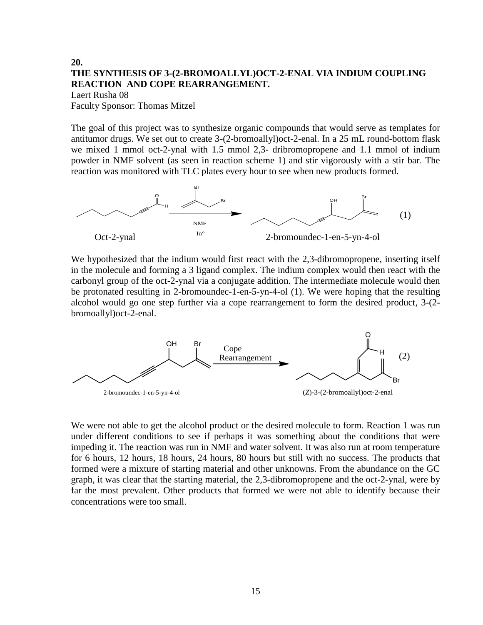### **20. THE SYNTHESIS OF 3-(2-BROMOALLYL)OCT-2-ENAL VIA INDIUM COUPLING REACTION AND COPE REARRANGEMENT.** Laert Rusha 08

Faculty Sponsor: Thomas Mitzel

The goal of this project was to synthesize organic compounds that would serve as templates for antitumor drugs. We set out to create 3-(2-bromoallyl)oct-2-enal. In a 25 mL round-bottom flask we mixed 1 mmol oct-2-ynal with 1.5 mmol 2,3- dribromopropene and 1.1 mmol of indium powder in NMF solvent (as seen in reaction scheme 1) and stir vigorously with a stir bar. The reaction was monitored with TLC plates every hour to see when new products formed.



We hypothesized that the indium would first react with the 2,3-dibromopropene, inserting itself in the molecule and forming a 3 ligand complex. The indium complex would then react with the carbonyl group of the oct-2-ynal via a conjugate addition. The intermediate molecule would then be protonated resulting in 2-bromoundec-1-en-5-yn-4-ol (1). We were hoping that the resulting alcohol would go one step further via a cope rearrangement to form the desired product, 3-(2 bromoallyl)oct-2-enal.



We were not able to get the alcohol product or the desired molecule to form. Reaction 1 was run under different conditions to see if perhaps it was something about the conditions that were impeding it. The reaction was run in NMF and water solvent. It was also run at room temperature for 6 hours, 12 hours, 18 hours, 24 hours, 80 hours but still with no success. The products that formed were a mixture of starting material and other unknowns. From the abundance on the GC graph, it was clear that the starting material, the 2,3-dibromopropene and the oct-2-ynal, were by far the most prevalent. Other products that formed we were not able to identify because their concentrations were too small.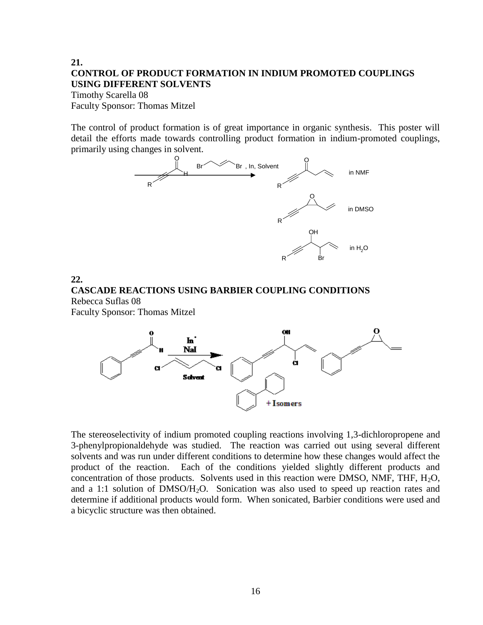## **21. CONTROL OF PRODUCT FORMATION IN INDIUM PROMOTED COUPLINGS USING DIFFERENT SOLVENTS** Timothy Scarella 08

Faculty Sponsor: Thomas Mitzel

The control of product formation is of great importance in organic synthesis. This poster will detail the efforts made towards controlling product formation in indium-promoted couplings, primarily using changes in solvent.



# **22. CASCADE REACTIONS USING BARBIER COUPLING CONDITIONS** Rebecca Suflas 08

Faculty Sponsor: Thomas Mitzel



The stereoselectivity of indium promoted coupling reactions involving 1,3-dichloropropene and 3-phenylpropionaldehyde was studied. The reaction was carried out using several different solvents and was run under different conditions to determine how these changes would affect the product of the reaction. Each of the conditions yielded slightly different products and concentration of those products. Solvents used in this reaction were DMSO, NMF, THF,  $H_2O$ , and a 1:1 solution of  $DMSO/H<sub>2</sub>O$ . Sonication was also used to speed up reaction rates and determine if additional products would form. When sonicated, Barbier conditions were used and a bicyclic structure was then obtained.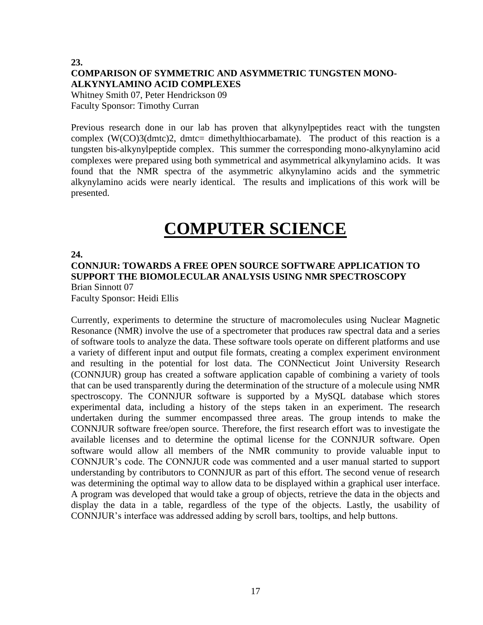# **23. COMPARISON OF SYMMETRIC AND ASYMMETRIC TUNGSTEN MONO-ALKYNYLAMINO ACID COMPLEXES**

Whitney Smith 07, Peter Hendrickson 09 Faculty Sponsor: Timothy Curran

Previous research done in our lab has proven that alkynylpeptides react with the tungsten complex (W(CO)3(dmtc)2, dmtc= dimethylthiocarbamate). The product of this reaction is a tungsten bis-alkynylpeptide complex. This summer the corresponding mono-alkynylamino acid complexes were prepared using both symmetrical and asymmetrical alkynylamino acids. It was found that the NMR spectra of the asymmetric alkynylamino acids and the symmetric alkynylamino acids were nearly identical. The results and implications of this work will be presented.

# **COMPUTER SCIENCE**

#### **24.**

# **CONNJUR: TOWARDS A FREE OPEN SOURCE SOFTWARE APPLICATION TO SUPPORT THE BIOMOLECULAR ANALYSIS USING NMR SPECTROSCOPY** Brian Sinnott 07

Faculty Sponsor: Heidi Ellis

Currently, experiments to determine the structure of macromolecules using Nuclear Magnetic Resonance (NMR) involve the use of a spectrometer that produces raw spectral data and a series of software tools to analyze the data. These software tools operate on different platforms and use a variety of different input and output file formats, creating a complex experiment environment and resulting in the potential for lost data. The CONNecticut Joint University Research (CONNJUR) group has created a software application capable of combining a variety of tools that can be used transparently during the determination of the structure of a molecule using NMR spectroscopy. The CONNJUR software is supported by a MySQL database which stores experimental data, including a history of the steps taken in an experiment. The research undertaken during the summer encompassed three areas. The group intends to make the CONNJUR software free/open source. Therefore, the first research effort was to investigate the available licenses and to determine the optimal license for the CONNJUR software. Open software would allow all members of the NMR community to provide valuable input to CONNJUR's code. The CONNJUR code was commented and a user manual started to support understanding by contributors to CONNJUR as part of this effort. The second venue of research was determining the optimal way to allow data to be displayed within a graphical user interface. A program was developed that would take a group of objects, retrieve the data in the objects and display the data in a table, regardless of the type of the objects. Lastly, the usability of CONNJUR's interface was addressed adding by scroll bars, tooltips, and help buttons.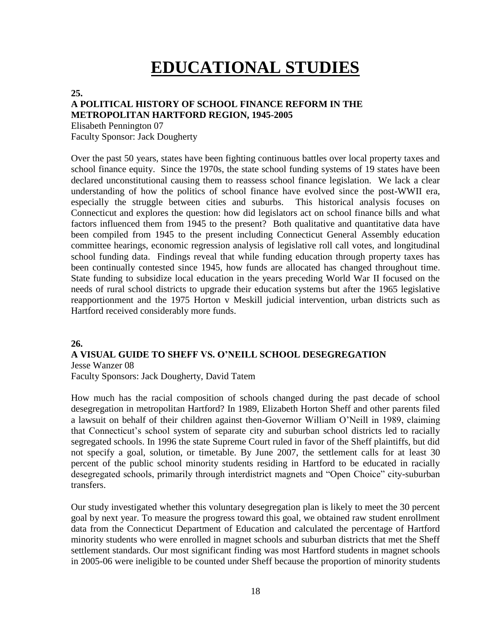# **EDUCATIONAL STUDIES**

#### **25.**

### **A POLITICAL HISTORY OF SCHOOL FINANCE REFORM IN THE METROPOLITAN HARTFORD REGION, 1945-2005**

Elisabeth Pennington 07 Faculty Sponsor: Jack Dougherty

Over the past 50 years, states have been fighting continuous battles over local property taxes and school finance equity. Since the 1970s, the state school funding systems of 19 states have been declared unconstitutional causing them to reassess school finance legislation. We lack a clear understanding of how the politics of school finance have evolved since the post-WWII era, especially the struggle between cities and suburbs. This historical analysis focuses on Connecticut and explores the question: how did legislators act on school finance bills and what factors influenced them from 1945 to the present? Both qualitative and quantitative data have been compiled from 1945 to the present including Connecticut General Assembly education committee hearings, economic regression analysis of legislative roll call votes, and longitudinal school funding data. Findings reveal that while funding education through property taxes has been continually contested since 1945, how funds are allocated has changed throughout time. State funding to subsidize local education in the years preceding World War II focused on the needs of rural school districts to upgrade their education systems but after the 1965 legislative reapportionment and the 1975 Horton v Meskill judicial intervention, urban districts such as Hartford received considerably more funds.

#### **26.**

# **A VISUAL GUIDE TO SHEFF VS. O'NEILL SCHOOL DESEGREGATION** Jesse Wanzer 08

Faculty Sponsors: Jack Dougherty, David Tatem

How much has the racial composition of schools changed during the past decade of school desegregation in metropolitan Hartford? In 1989, Elizabeth Horton Sheff and other parents filed a lawsuit on behalf of their children against then-Governor William O'Neill in 1989, claiming that Connecticut's school system of separate city and suburban school districts led to racially segregated schools. In 1996 the state Supreme Court ruled in favor of the Sheff plaintiffs, but did not specify a goal, solution, or timetable. By June 2007, the settlement calls for at least 30 percent of the public school minority students residing in Hartford to be educated in racially desegregated schools, primarily through interdistrict magnets and "Open Choice" city-suburban transfers.

Our study investigated whether this voluntary desegregation plan is likely to meet the 30 percent goal by next year. To measure the progress toward this goal, we obtained raw student enrollment data from the Connecticut Department of Education and calculated the percentage of Hartford minority students who were enrolled in magnet schools and suburban districts that met the Sheff settlement standards. Our most significant finding was most Hartford students in magnet schools in 2005-06 were ineligible to be counted under Sheff because the proportion of minority students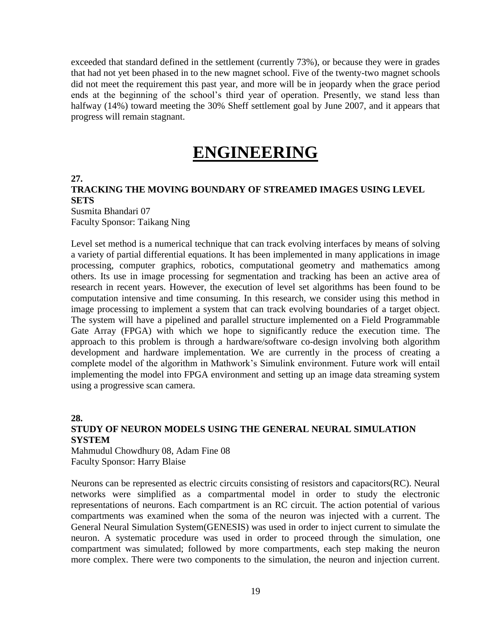exceeded that standard defined in the settlement (currently 73%), or because they were in grades that had not yet been phased in to the new magnet school. Five of the twenty-two magnet schools did not meet the requirement this past year, and more will be in jeopardy when the grace period ends at the beginning of the school's third year of operation. Presently, we stand less than halfway (14%) toward meeting the 30% Sheff settlement goal by June 2007, and it appears that progress will remain stagnant.

# **ENGINEERING**

#### **27.**

## **TRACKING THE MOVING BOUNDARY OF STREAMED IMAGES USING LEVEL SETS**

Susmita Bhandari 07 Faculty Sponsor: Taikang Ning

Level set method is a numerical technique that can track evolving interfaces by means of solving a variety of partial differential equations. It has been implemented in many applications in image processing, computer graphics, robotics, computational geometry and mathematics among others. Its use in image processing for segmentation and tracking has been an active area of research in recent years. However, the execution of level set algorithms has been found to be computation intensive and time consuming. In this research, we consider using this method in image processing to implement a system that can track evolving boundaries of a target object. The system will have a pipelined and parallel structure implemented on a Field Programmable Gate Array (FPGA) with which we hope to significantly reduce the execution time. The approach to this problem is through a hardware/software co-design involving both algorithm development and hardware implementation. We are currently in the process of creating a complete model of the algorithm in Mathwork's Simulink environment. Future work will entail implementing the model into FPGA environment and setting up an image data streaming system using a progressive scan camera.

### **28.**

# **STUDY OF NEURON MODELS USING THE GENERAL NEURAL SIMULATION SYSTEM**

Mahmudul Chowdhury 08, Adam Fine 08 Faculty Sponsor: Harry Blaise

Neurons can be represented as electric circuits consisting of resistors and capacitors(RC). Neural networks were simplified as a compartmental model in order to study the electronic representations of neurons. Each compartment is an RC circuit. The action potential of various compartments was examined when the soma of the neuron was injected with a current. The General Neural Simulation System(GENESIS) was used in order to inject current to simulate the neuron. A systematic procedure was used in order to proceed through the simulation, one compartment was simulated; followed by more compartments, each step making the neuron more complex. There were two components to the simulation, the neuron and injection current.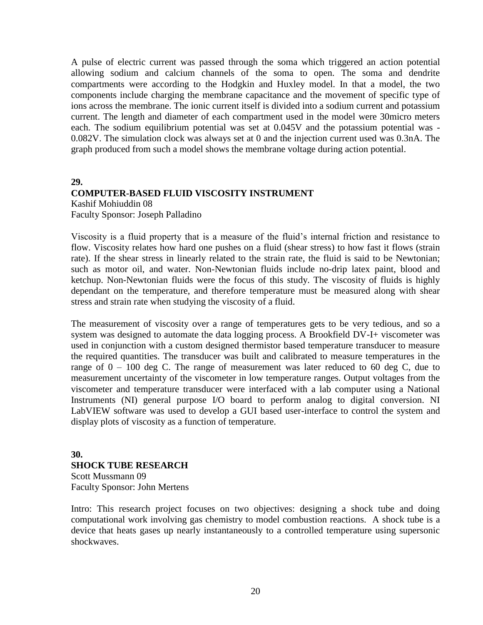A pulse of electric current was passed through the soma which triggered an action potential allowing sodium and calcium channels of the soma to open. The soma and dendrite compartments were according to the Hodgkin and Huxley model. In that a model, the two components include charging the membrane capacitance and the movement of specific type of ions across the membrane. The ionic current itself is divided into a sodium current and potassium current. The length and diameter of each compartment used in the model were 30micro meters each. The sodium equilibrium potential was set at 0.045V and the potassium potential was - 0.082V. The simulation clock was always set at 0 and the injection current used was 0.3nA. The graph produced from such a model shows the membrane voltage during action potential.

### **29.**

## **COMPUTER-BASED FLUID VISCOSITY INSTRUMENT**

Kashif Mohiuddin 08 Faculty Sponsor: Joseph Palladino

Viscosity is a fluid property that is a measure of the fluid's internal friction and resistance to flow. Viscosity relates how hard one pushes on a fluid (shear stress) to how fast it flows (strain rate). If the shear stress in linearly related to the strain rate, the fluid is said to be Newtonian; such as motor oil, and water. Non-Newtonian fluids include no-drip latex paint, blood and ketchup. Non-Newtonian fluids were the focus of this study. The viscosity of fluids is highly dependant on the temperature, and therefore temperature must be measured along with shear stress and strain rate when studying the viscosity of a fluid.

The measurement of viscosity over a range of temperatures gets to be very tedious, and so a system was designed to automate the data logging process. A Brookfield DV-I+ viscometer was used in conjunction with a custom designed thermistor based temperature transducer to measure the required quantities. The transducer was built and calibrated to measure temperatures in the range of  $0 - 100$  deg C. The range of measurement was later reduced to 60 deg C, due to measurement uncertainty of the viscometer in low temperature ranges. Output voltages from the viscometer and temperature transducer were interfaced with a lab computer using a National Instruments (NI) general purpose I/O board to perform analog to digital conversion. NI LabVIEW software was used to develop a GUI based user-interface to control the system and display plots of viscosity as a function of temperature.

### **30. SHOCK TUBE RESEARCH** Scott Mussmann 09

Faculty Sponsor: John Mertens

Intro: This research project focuses on two objectives: designing a shock tube and doing computational work involving gas chemistry to model combustion reactions. A shock tube is a device that heats gases up nearly instantaneously to a controlled temperature using supersonic shockwaves.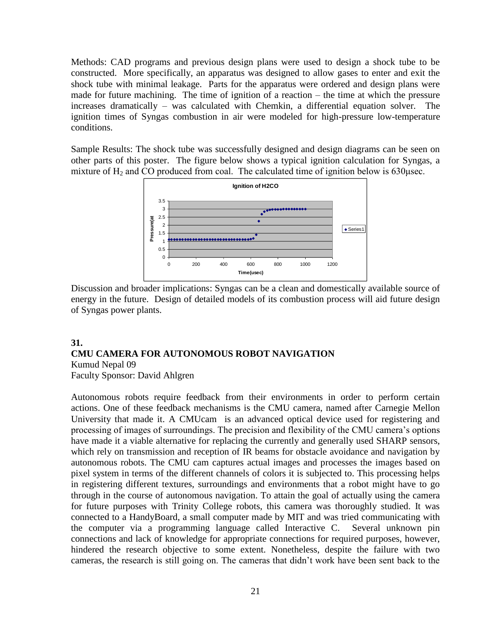Methods: CAD programs and previous design plans were used to design a shock tube to be constructed. More specifically, an apparatus was designed to allow gases to enter and exit the shock tube with minimal leakage. Parts for the apparatus were ordered and design plans were made for future machining. The time of ignition of a reaction – the time at which the pressure increases dramatically – was calculated with Chemkin, a differential equation solver. The ignition times of Syngas combustion in air were modeled for high-pressure low-temperature conditions.

Sample Results: The shock tube was successfully designed and design diagrams can be seen on other parts of this poster. The figure below shows a typical ignition calculation for Syngas, a mixture of  $H_2$  and CO produced from coal. The calculated time of ignition below is 630 usec.



Discussion and broader implications: Syngas can be a clean and domestically available source of energy in the future. Design of detailed models of its combustion process will aid future design of Syngas power plants.

## **31. CMU CAMERA FOR AUTONOMOUS ROBOT NAVIGATION** Kumud Nepal 09 Faculty Sponsor: David Ahlgren

Autonomous robots require feedback from their environments in order to perform certain actions. One of these feedback mechanisms is the CMU camera, named after Carnegie Mellon University that made it. A CMUcam is an advanced optical device used for registering and processing of images of surroundings. The precision and flexibility of the CMU camera's options have made it a viable alternative for replacing the currently and generally used SHARP sensors, which rely on transmission and reception of IR beams for obstacle avoidance and navigation by autonomous robots. The CMU cam captures actual images and processes the images based on pixel system in terms of the different channels of colors it is subjected to. This processing helps in registering different textures, surroundings and environments that a robot might have to go through in the course of autonomous navigation. To attain the goal of actually using the camera for future purposes with Trinity College robots, this camera was thoroughly studied. It was connected to a HandyBoard, a small computer made by MIT and was tried communicating with the computer via a programming language called Interactive C. Several unknown pin connections and lack of knowledge for appropriate connections for required purposes, however, hindered the research objective to some extent. Nonetheless, despite the failure with two cameras, the research is still going on. The cameras that didn't work have been sent back to the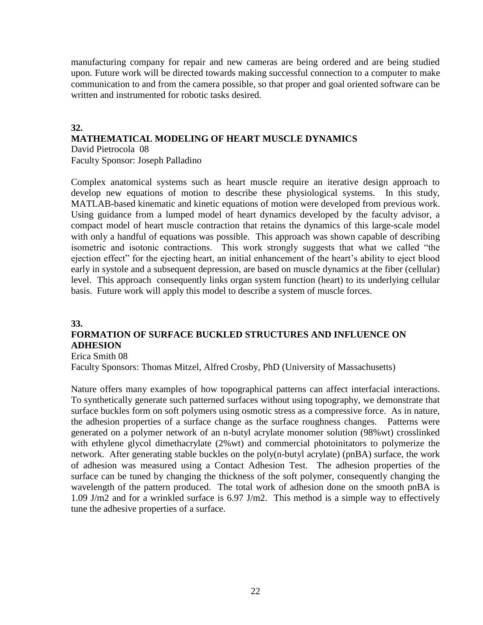manufacturing company for repair and new cameras are being ordered and are being studied upon. Future work will be directed towards making successful connection to a computer to make communication to and from the camera possible, so that proper and goal oriented software can be written and instrumented for robotic tasks desired.

# **32. MATHEMATICAL MODELING OF HEART MUSCLE DYNAMICS**

David Pietrocola 08 Faculty Sponsor: Joseph Palladino

Complex anatomical systems such as heart muscle require an iterative design approach to develop new equations of motion to describe these physiological systems. In this study, MATLAB-based kinematic and kinetic equations of motion were developed from previous work. Using guidance from a lumped model of heart dynamics developed by the faculty advisor, a compact model of heart muscle contraction that retains the dynamics of this large-scale model with only a handful of equations was possible. This approach was shown capable of describing isometric and isotonic contractions. This work strongly suggests that what we called "the ejection effect" for the ejecting heart, an initial enhancement of the heart's ability to eject blood early in systole and a subsequent depression, are based on muscle dynamics at the fiber (cellular) level. This approach consequently links organ system function (heart) to its underlying cellular basis. Future work will apply this model to describe a system of muscle forces.

### **33.**

# **FORMATION OF SURFACE BUCKLED STRUCTURES AND INFLUENCE ON ADHESION**

Erica Smith 08

Faculty Sponsors: Thomas Mitzel, Alfred Crosby, PhD (University of Massachusetts)

Nature offers many examples of how topographical patterns can affect interfacial interactions. To synthetically generate such patterned surfaces without using topography, we demonstrate that surface buckles form on soft polymers using osmotic stress as a compressive force. As in nature, the adhesion properties of a surface change as the surface roughness changes. Patterns were generated on a polymer network of an n-butyl acrylate monomer solution (98%wt) crosslinked with ethylene glycol dimethacrylate (2%wt) and commercial photoinitators to polymerize the network. After generating stable buckles on the poly(n-butyl acrylate) (pnBA) surface, the work of adhesion was measured using a Contact Adhesion Test. The adhesion properties of the surface can be tuned by changing the thickness of the soft polymer, consequently changing the wavelength of the pattern produced. The total work of adhesion done on the smooth pnBA is 1.09 J/m2 and for a wrinkled surface is 6.97 J/m2. This method is a simple way to effectively tune the adhesive properties of a surface.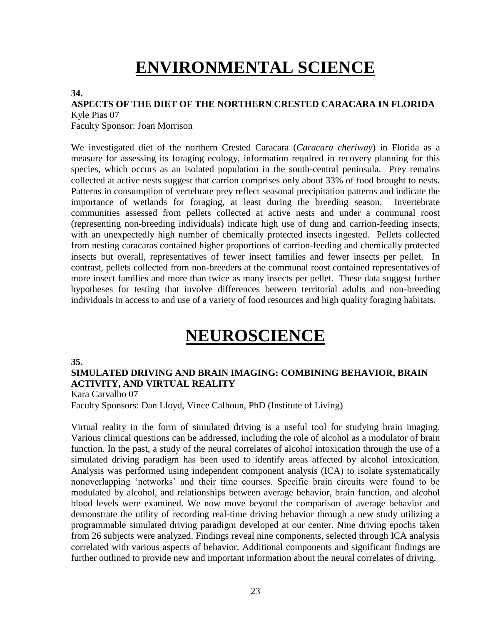# **ENVIRONMENTAL SCIENCE**

#### **34.**

#### **ASPECTS OF THE DIET OF THE NORTHERN CRESTED CARACARA IN FLORIDA** Kyle Pias 07

Faculty Sponsor: Joan Morrison

We investigated diet of the northern Crested Caracara (*Caracara cheriway*) in Florida as a measure for assessing its foraging ecology, information required in recovery planning for this species, which occurs as an isolated population in the south-central peninsula. Prey remains collected at active nests suggest that carrion comprises only about 33% of food brought to nests. Patterns in consumption of vertebrate prey reflect seasonal precipitation patterns and indicate the importance of wetlands for foraging, at least during the breeding season. Invertebrate communities assessed from pellets collected at active nests and under a communal roost (representing non-breeding individuals) indicate high use of dung and carrion-feeding insects, with an unexpectedly high number of chemically protected insects ingested. Pellets collected from nesting caracaras contained higher proportions of carrion-feeding and chemically protected insects but overall, representatives of fewer insect families and fewer insects per pellet. In contrast, pellets collected from non-breeders at the communal roost contained representatives of more insect families and more than twice as many insects per pellet. These data suggest further hypotheses for testing that involve differences between territorial adults and non-breeding individuals in access to and use of a variety of food resources and high quality foraging habitats.

# **NEUROSCIENCE**

**35.**

## **SIMULATED DRIVING AND BRAIN IMAGING: COMBINING BEHAVIOR, BRAIN ACTIVITY, AND VIRTUAL REALITY**

Kara Carvalho 07

Faculty Sponsors: Dan Lloyd, Vince Calhoun, PhD (Institute of Living)

Virtual reality in the form of simulated driving is a useful tool for studying brain imaging. Various clinical questions can be addressed, including the role of alcohol as a modulator of brain function. In the past, a study of the neural correlates of alcohol intoxication through the use of a simulated driving paradigm has been used to identify areas affected by alcohol intoxication. Analysis was performed using independent component analysis (ICA) to isolate systematically nonoverlapping 'networks' and their time courses. Specific brain circuits were found to be modulated by alcohol, and relationships between average behavior, brain function, and alcohol blood levels were examined. We now move beyond the comparison of average behavior and demonstrate the utility of recording real-time driving behavior through a new study utilizing a programmable simulated driving paradigm developed at our center. Nine driving epochs taken from 26 subjects were analyzed. Findings reveal nine components, selected through ICA analysis correlated with various aspects of behavior. Additional components and significant findings are further outlined to provide new and important information about the neural correlates of driving.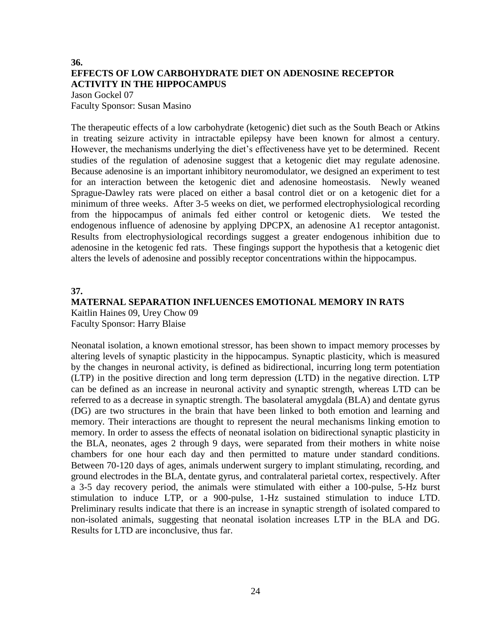# **36. EFFECTS OF LOW CARBOHYDRATE DIET ON ADENOSINE RECEPTOR ACTIVITY IN THE HIPPOCAMPUS**

### Jason Gockel 07 Faculty Sponsor: Susan Masino

The therapeutic effects of a low carbohydrate (ketogenic) diet such as the South Beach or Atkins in treating seizure activity in intractable epilepsy have been known for almost a century. However, the mechanisms underlying the diet's effectiveness have yet to be determined. Recent studies of the regulation of adenosine suggest that a ketogenic diet may regulate adenosine. Because adenosine is an important inhibitory neuromodulator, we designed an experiment to test for an interaction between the ketogenic diet and adenosine homeostasis. Newly weaned Sprague-Dawley rats were placed on either a basal control diet or on a ketogenic diet for a minimum of three weeks. After 3-5 weeks on diet, we performed electrophysiological recording from the hippocampus of animals fed either control or ketogenic diets. We tested the endogenous influence of adenosine by applying DPCPX, an adenosine A1 receptor antagonist. Results from electrophysiological recordings suggest a greater endogenous inhibition due to adenosine in the ketogenic fed rats. These fingings support the hypothesis that a ketogenic diet alters the levels of adenosine and possibly receptor concentrations within the hippocampus.

#### **37.**

### **MATERNAL SEPARATION INFLUENCES EMOTIONAL MEMORY IN RATS** Kaitlin Haines 09, Urey Chow 09 Faculty Sponsor: Harry Blaise

Neonatal isolation, a known emotional stressor, has been shown to impact memory processes by altering levels of synaptic plasticity in the hippocampus. Synaptic plasticity, which is measured by the changes in neuronal activity, is defined as bidirectional, incurring long term potentiation (LTP) in the positive direction and long term depression (LTD) in the negative direction. LTP can be defined as an increase in neuronal activity and synaptic strength, whereas LTD can be referred to as a decrease in synaptic strength. The basolateral amygdala (BLA) and dentate gyrus (DG) are two structures in the brain that have been linked to both emotion and learning and memory. Their interactions are thought to represent the neural mechanisms linking emotion to memory. In order to assess the effects of neonatal isolation on bidirectional synaptic plasticity in the BLA, neonates, ages 2 through 9 days, were separated from their mothers in white noise chambers for one hour each day and then permitted to mature under standard conditions. Between 70-120 days of ages, animals underwent surgery to implant stimulating, recording, and ground electrodes in the BLA, dentate gyrus, and contralateral parietal cortex, respectively. After a 3-5 day recovery period, the animals were stimulated with either a 100-pulse, 5-Hz burst stimulation to induce LTP, or a 900-pulse, 1-Hz sustained stimulation to induce LTD. Preliminary results indicate that there is an increase in synaptic strength of isolated compared to non-isolated animals, suggesting that neonatal isolation increases LTP in the BLA and DG. Results for LTD are inconclusive, thus far.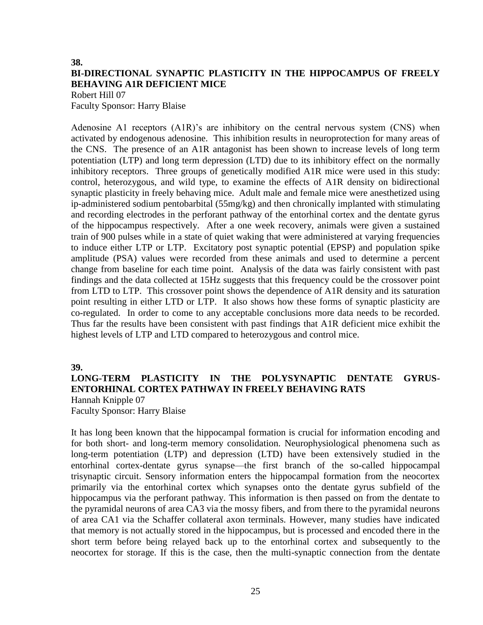# **38. BI-DIRECTIONAL SYNAPTIC PLASTICITY IN THE HIPPOCAMPUS OF FREELY BEHAVING A1R DEFICIENT MICE**

Robert Hill 07 Faculty Sponsor: Harry Blaise

Adenosine A1 receptors (A1R)'s are inhibitory on the central nervous system (CNS) when activated by endogenous adenosine. This inhibition results in neuroprotection for many areas of the CNS. The presence of an A1R antagonist has been shown to increase levels of long term potentiation (LTP) and long term depression (LTD) due to its inhibitory effect on the normally inhibitory receptors. Three groups of genetically modified A1R mice were used in this study: control, heterozygous, and wild type, to examine the effects of A1R density on bidirectional synaptic plasticity in freely behaving mice. Adult male and female mice were anesthetized using ip-administered sodium pentobarbital (55mg/kg) and then chronically implanted with stimulating and recording electrodes in the perforant pathway of the entorhinal cortex and the dentate gyrus of the hippocampus respectively. After a one week recovery, animals were given a sustained train of 900 pulses while in a state of quiet waking that were administered at varying frequencies to induce either LTP or LTP. Excitatory post synaptic potential (EPSP) and population spike amplitude (PSA) values were recorded from these animals and used to determine a percent change from baseline for each time point. Analysis of the data was fairly consistent with past findings and the data collected at 15Hz suggests that this frequency could be the crossover point from LTD to LTP. This crossover point shows the dependence of A1R density and its saturation point resulting in either LTD or LTP. It also shows how these forms of synaptic plasticity are co-regulated. In order to come to any acceptable conclusions more data needs to be recorded. Thus far the results have been consistent with past findings that A1R deficient mice exhibit the highest levels of LTP and LTD compared to heterozygous and control mice.

#### **39.**

# **LONG-TERM PLASTICITY IN THE POLYSYNAPTIC DENTATE GYRUS-ENTORHINAL CORTEX PATHWAY IN FREELY BEHAVING RATS**

Hannah Knipple 07 Faculty Sponsor: Harry Blaise

It has long been known that the hippocampal formation is crucial for information encoding and for both short- and long-term memory consolidation. Neurophysiological phenomena such as long-term potentiation (LTP) and depression (LTD) have been extensively studied in the entorhinal cortex-dentate gyrus synapse—the first branch of the so-called hippocampal trisynaptic circuit. Sensory information enters the hippocampal formation from the neocortex primarily via the entorhinal cortex which synapses onto the dentate gyrus subfield of the hippocampus via the perforant pathway. This information is then passed on from the dentate to the pyramidal neurons of area CA3 via the mossy fibers, and from there to the pyramidal neurons of area CA1 via the Schaffer collateral axon terminals. However, many studies have indicated that memory is not actually stored in the hippocampus, but is processed and encoded there in the short term before being relayed back up to the entorhinal cortex and subsequently to the neocortex for storage. If this is the case, then the multi-synaptic connection from the dentate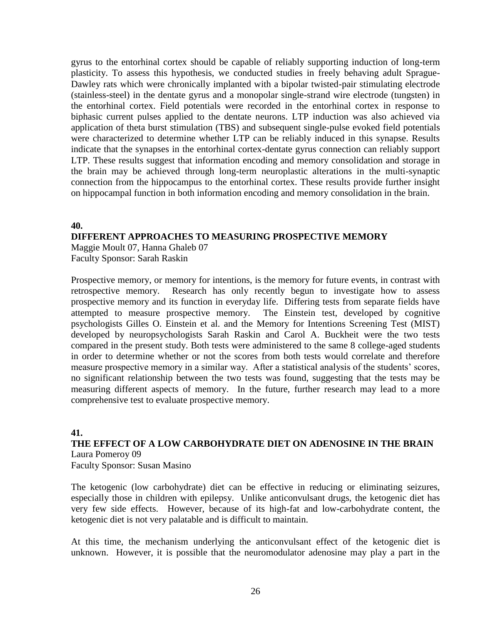gyrus to the entorhinal cortex should be capable of reliably supporting induction of long-term plasticity. To assess this hypothesis, we conducted studies in freely behaving adult Sprague-Dawley rats which were chronically implanted with a bipolar twisted-pair stimulating electrode (stainless-steel) in the dentate gyrus and a monopolar single-strand wire electrode (tungsten) in the entorhinal cortex. Field potentials were recorded in the entorhinal cortex in response to biphasic current pulses applied to the dentate neurons. LTP induction was also achieved via application of theta burst stimulation (TBS) and subsequent single-pulse evoked field potentials were characterized to determine whether LTP can be reliably induced in this synapse. Results indicate that the synapses in the entorhinal cortex-dentate gyrus connection can reliably support LTP. These results suggest that information encoding and memory consolidation and storage in the brain may be achieved through long-term neuroplastic alterations in the multi-synaptic connection from the hippocampus to the entorhinal cortex. These results provide further insight on hippocampal function in both information encoding and memory consolidation in the brain.

#### **40.**

### **DIFFERENT APPROACHES TO MEASURING PROSPECTIVE MEMORY**

Maggie Moult 07, Hanna Ghaleb 07 Faculty Sponsor: Sarah Raskin

Prospective memory, or memory for intentions, is the memory for future events, in contrast with retrospective memory. Research has only recently begun to investigate how to assess prospective memory and its function in everyday life. Differing tests from separate fields have attempted to measure prospective memory. The Einstein test, developed by cognitive psychologists Gilles O. Einstein et al. and the Memory for Intentions Screening Test (MIST) developed by neuropsychologists Sarah Raskin and Carol A. Buckheit were the two tests compared in the present study. Both tests were administered to the same 8 college-aged students in order to determine whether or not the scores from both tests would correlate and therefore measure prospective memory in a similar way. After a statistical analysis of the students' scores, no significant relationship between the two tests was found, suggesting that the tests may be measuring different aspects of memory. In the future, further research may lead to a more comprehensive test to evaluate prospective memory.

### **41.**

### **THE EFFECT OF A LOW CARBOHYDRATE DIET ON ADENOSINE IN THE BRAIN** Laura Pomeroy 09

Faculty Sponsor: Susan Masino

The ketogenic (low carbohydrate) diet can be effective in reducing or eliminating seizures, especially those in children with epilepsy. Unlike anticonvulsant drugs, the ketogenic diet has very few side effects. However, because of its high-fat and low-carbohydrate content, the ketogenic diet is not very palatable and is difficult to maintain.

At this time, the mechanism underlying the anticonvulsant effect of the ketogenic diet is unknown. However, it is possible that the neuromodulator adenosine may play a part in the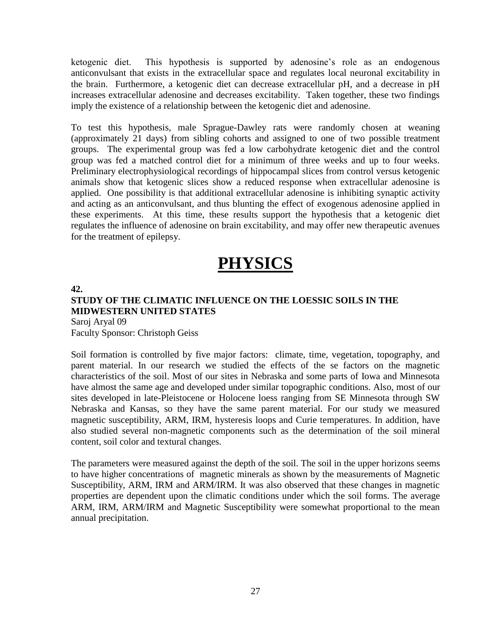ketogenic diet. This hypothesis is supported by adenosine's role as an endogenous anticonvulsant that exists in the extracellular space and regulates local neuronal excitability in the brain. Furthermore, a ketogenic diet can decrease extracellular pH, and a decrease in pH increases extracellular adenosine and decreases excitability. Taken together, these two findings imply the existence of a relationship between the ketogenic diet and adenosine.

To test this hypothesis, male Sprague-Dawley rats were randomly chosen at weaning (approximately 21 days) from sibling cohorts and assigned to one of two possible treatment groups. The experimental group was fed a low carbohydrate ketogenic diet and the control group was fed a matched control diet for a minimum of three weeks and up to four weeks. Preliminary electrophysiological recordings of hippocampal slices from control versus ketogenic animals show that ketogenic slices show a reduced response when extracellular adenosine is applied. One possibility is that additional extracellular adenosine is inhibiting synaptic activity and acting as an anticonvulsant, and thus blunting the effect of exogenous adenosine applied in these experiments. At this time, these results support the hypothesis that a ketogenic diet regulates the influence of adenosine on brain excitability, and may offer new therapeutic avenues for the treatment of epilepsy.

# **PHYSICS**

**42.**

## **STUDY OF THE CLIMATIC INFLUENCE ON THE LOESSIC SOILS IN THE MIDWESTERN UNITED STATES** Saroj Aryal 09 Faculty Sponsor: Christoph Geiss

Soil formation is controlled by five major factors: climate, time, vegetation, topography, and parent material. In our research we studied the effects of the se factors on the magnetic characteristics of the soil. Most of our sites in Nebraska and some parts of Iowa and Minnesota have almost the same age and developed under similar topographic conditions. Also, most of our sites developed in late-Pleistocene or Holocene loess ranging from SE Minnesota through SW Nebraska and Kansas, so they have the same parent material. For our study we measured magnetic susceptibility, ARM, IRM, hysteresis loops and Curie temperatures. In addition, have also studied several non-magnetic components such as the determination of the soil mineral content, soil color and textural changes.

The parameters were measured against the depth of the soil. The soil in the upper horizons seems to have higher concentrations of magnetic minerals as shown by the measurements of Magnetic Susceptibility, ARM, IRM and ARM/IRM. It was also observed that these changes in magnetic properties are dependent upon the climatic conditions under which the soil forms. The average ARM, IRM, ARM/IRM and Magnetic Susceptibility were somewhat proportional to the mean annual precipitation.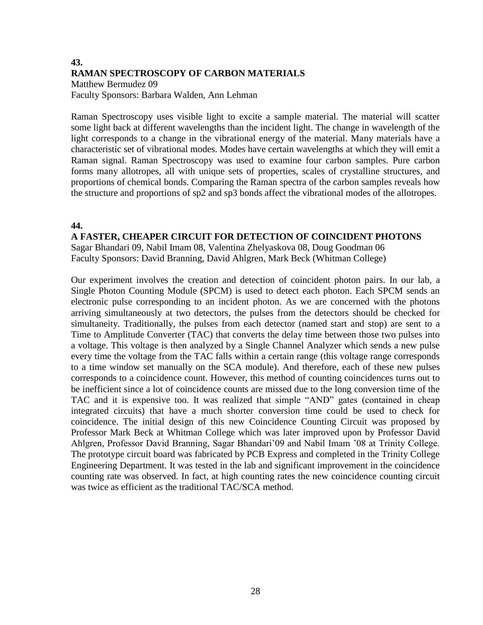# **43. RAMAN SPECTROSCOPY OF CARBON MATERIALS** Matthew Bermudez 09

Faculty Sponsors: Barbara Walden, Ann Lehman

Raman Spectroscopy uses visible light to excite a sample material. The material will scatter some light back at different wavelengths than the incident light. The change in wavelength of the light corresponds to a change in the vibrational energy of the material. Many materials have a characteristic set of vibrational modes. Modes have certain wavelengths at which they will emit a Raman signal. Raman Spectroscopy was used to examine four carbon samples. Pure carbon forms many allotropes, all with unique sets of properties, scales of crystalline structures, and proportions of chemical bonds. Comparing the Raman spectra of the carbon samples reveals how the structure and proportions of sp2 and sp3 bonds affect the vibrational modes of the allotropes.

### **44.**

**A FASTER, CHEAPER CIRCUIT FOR DETECTION OF COINCIDENT PHOTONS** Sagar Bhandari 09, Nabil Imam 08, Valentina Zhelyaskova 08, Doug Goodman 06 Faculty Sponsors: David Branning, David Ahlgren, Mark Beck (Whitman College)

Our experiment involves the creation and detection of coincident photon pairs. In our lab, a Single Photon Counting Module (SPCM) is used to detect each photon. Each SPCM sends an electronic pulse corresponding to an incident photon. As we are concerned with the photons arriving simultaneously at two detectors, the pulses from the detectors should be checked for simultaneity. Traditionally, the pulses from each detector (named start and stop) are sent to a Time to Amplitude Converter (TAC) that converts the delay time between those two pulses into a voltage. This voltage is then analyzed by a Single Channel Analyzer which sends a new pulse every time the voltage from the TAC falls within a certain range (this voltage range corresponds to a time window set manually on the SCA module). And therefore, each of these new pulses corresponds to a coincidence count. However, this method of counting coincidences turns out to be inefficient since a lot of coincidence counts are missed due to the long conversion time of the TAC and it is expensive too. It was realized that simple "AND" gates (contained in cheap integrated circuits) that have a much shorter conversion time could be used to check for coincidence. The initial design of this new Coincidence Counting Circuit was proposed by Professor Mark Beck at Whitman College which was later improved upon by Professor David Ahlgren, Professor David Branning, Sagar Bhandari'09 and Nabil Imam '08 at Trinity College. The prototype circuit board was fabricated by PCB Express and completed in the Trinity College Engineering Department. It was tested in the lab and significant improvement in the coincidence counting rate was observed. In fact, at high counting rates the new coincidence counting circuit was twice as efficient as the traditional TAC/SCA method.